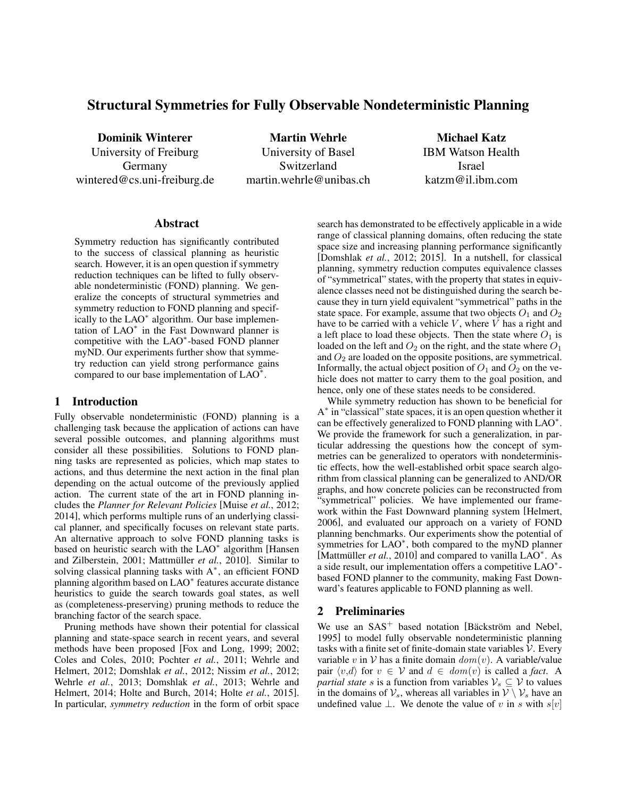# Structural Symmetries for Fully Observable Nondeterministic Planning

Dominik Winterer University of Freiburg Germany wintered@cs.uni-freiburg.de

Martin Wehrle University of Basel Switzerland martin.wehrle@unibas.ch

Michael Katz IBM Watson Health Israel katzm@il.ibm.com

#### Abstract

Symmetry reduction has significantly contributed to the success of classical planning as heuristic search. However, it is an open question if symmetry reduction techniques can be lifted to fully observable nondeterministic (FOND) planning. We generalize the concepts of structural symmetries and symmetry reduction to FOND planning and specifically to the LAO<sup>∗</sup> algorithm. Our base implementation of LAO<sup>∗</sup> in the Fast Downward planner is competitive with the LAO<sup>∗</sup> -based FOND planner myND. Our experiments further show that symmetry reduction can yield strong performance gains compared to our base implementation of  $LAO^*$ .

### 1 Introduction

Fully observable nondeterministic (FOND) planning is a challenging task because the application of actions can have several possible outcomes, and planning algorithms must consider all these possibilities. Solutions to FOND planning tasks are represented as policies, which map states to actions, and thus determine the next action in the final plan depending on the actual outcome of the previously applied action. The current state of the art in FOND planning includes the *Planner for Relevant Policies* [Muise *et al.*, 2012; 2014], which performs multiple runs of an underlying classical planner, and specifically focuses on relevant state parts. An alternative approach to solve FOND planning tasks is based on heuristic search with the LAO<sup>∗</sup> algorithm [Hansen and Zilberstein, 2001; Mattmüller *et al.*, 2010]. Similar to solving classical planning tasks with A<sup>\*</sup>, an efficient FOND planning algorithm based on LAO<sup>\*</sup> features accurate distance heuristics to guide the search towards goal states, as well as (completeness-preserving) pruning methods to reduce the branching factor of the search space.

Pruning methods have shown their potential for classical planning and state-space search in recent years, and several methods have been proposed [Fox and Long, 1999; 2002; Coles and Coles, 2010; Pochter *et al.*, 2011; Wehrle and Helmert, 2012; Domshlak *et al.*, 2012; Nissim *et al.*, 2012; Wehrle *et al.*, 2013; Domshlak *et al.*, 2013; Wehrle and Helmert, 2014; Holte and Burch, 2014; Holte *et al.*, 2015]. In particular, *symmetry reduction* in the form of orbit space search has demonstrated to be effectively applicable in a wide range of classical planning domains, often reducing the state space size and increasing planning performance significantly [Domshlak *et al.*, 2012; 2015]. In a nutshell, for classical planning, symmetry reduction computes equivalence classes of "symmetrical" states, with the property that states in equivalence classes need not be distinguished during the search because they in turn yield equivalent "symmetrical" paths in the state space. For example, assume that two objects  $O_1$  and  $O_2$ have to be carried with a vehicle  $V$ , where  $V$  has a right and a left place to load these objects. Then the state where  $O_1$  is loaded on the left and  $O_2$  on the right, and the state where  $O_1$ and  $O_2$  are loaded on the opposite positions, are symmetrical. Informally, the actual object position of  $O_1$  and  $O_2$  on the vehicle does not matter to carry them to the goal position, and hence, only one of these states needs to be considered.

While symmetry reduction has shown to be beneficial for A<sup>\*</sup> in "classical" state spaces, it is an open question whether it can be effectively generalized to FOND planning with LAO<sup>\*</sup>. We provide the framework for such a generalization, in particular addressing the questions how the concept of symmetries can be generalized to operators with nondeterministic effects, how the well-established orbit space search algorithm from classical planning can be generalized to AND/OR graphs, and how concrete policies can be reconstructed from "symmetrical" policies. We have implemented our framework within the Fast Downward planning system [Helmert, 2006], and evaluated our approach on a variety of FOND planning benchmarks. Our experiments show the potential of symmetries for LAO<sup>\*</sup>, both compared to the myND planner [Mattmüller *et al.*, 2010] and compared to vanilla  $LAO^*$ . As a side result, our implementation offers a competitive LAO<sup>\*</sup>based FOND planner to the community, making Fast Downward's features applicable to FOND planning as well.

# 2 Preliminaries

We use an  $SAS^+$  based notation [Bäckström and Nebel, 1995] to model fully observable nondeterministic planning tasks with a finite set of finite-domain state variables  $V$ . Every variable v in  $V$  has a finite domain  $dom(v)$ . A variable/value pair  $\langle v, d \rangle$  for  $v \in V$  and  $d \in dom(v)$  is called a *fact*. A *partial state* s is a function from variables  $V_s \subseteq V$  to values in the domains of  $\mathcal{V}_s$ , whereas all variables in  $\mathcal{V} \setminus \mathcal{V}_s$  have an undefined value  $\perp$ . We denote the value of v in s with s[v]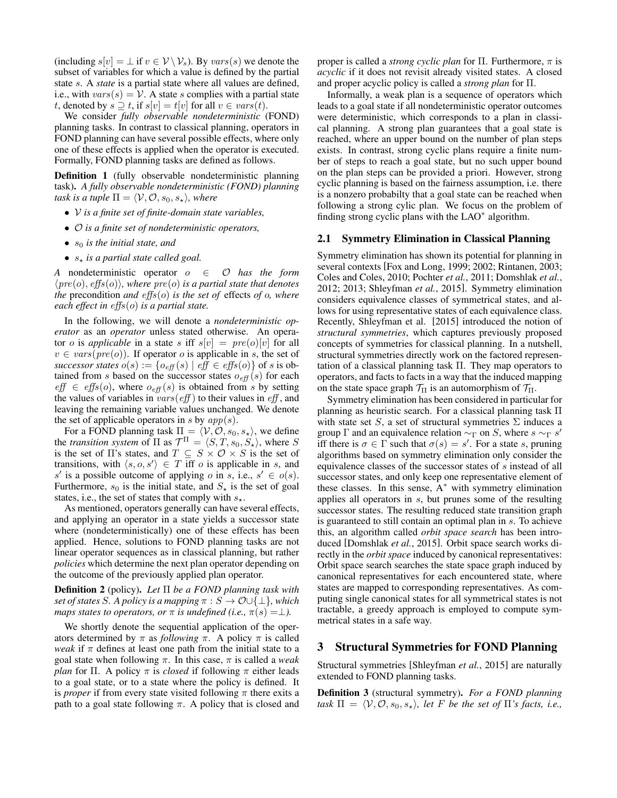(including  $s[v] = \perp$  if  $v \in V \setminus V_s$ ). By vars(s) we denote the subset of variables for which a value is defined by the partial state s. A *state* is a partial state where all values are defined, i.e., with  $vars(s) = V$ . A state s complies with a partial state t, denoted by  $s \supseteq t$ , if  $s[v] = t[v]$  for all  $v \in vars(t)$ .

We consider *fully observable nondeterministic* (FOND) planning tasks. In contrast to classical planning, operators in FOND planning can have several possible effects, where only one of these effects is applied when the operator is executed. Formally, FOND planning tasks are defined as follows.

Definition 1 (fully observable nondeterministic planning task). *A fully observable nondeterministic (FOND) planning task is a tuple*  $\Pi = \langle V, \mathcal{O}, s_0, s_\star \rangle$ *, where* 

- V *is a finite set of finite-domain state variables,*
- O *is a finite set of nondeterministic operators,*
- $s_0$  *is the initial state, and*
- $s_{\star}$  *is a partial state called goal.*

*A* nondeterministic operator  $o \in O$  *has the form*  $\langle pre(o), \text{effs}(o) \rangle$ *, where pre(o) is a partial state that denotes the* precondition *and* effs(o) *is the set of* effects *of* o*, where each effect in* effs(o) *is a partial state.*

In the following, we will denote a *nondeterministic operator* as an *operator* unless stated otherwise. An operator *o* is *applicable* in a state *s* iff  $s[v] = pre(o)[v]$  for all  $v \in vars(pre(o))$ . If operator *o* is applicable in *s*, the set of *successor states*  $o(s) := \{o_{\text{eff}}(s) \mid \text{eff} \in \text{effs}(o)\}\$  of s is obtained from s based on the successor states  $o_{\text{eff}}(s)$  for each  $\textit{eff} \in \textit{effs}(o)$ , where  $o_{\textit{eff}}(s)$  is obtained from s by setting the values of variables in  $vars(eff)$  to their values in  $eff$ , and leaving the remaining variable values unchanged. We denote the set of applicable operators in s by  $app(s)$ .

For a FOND planning task  $\Pi = \langle V, O, s_0, s_* \rangle$ , we define the *transition system* of  $\Pi$  as  $\mathcal{T}^{\Pi} = \langle S, T, s_0, S_{\star} \rangle$ , where S is the set of  $\Pi$ 's states, and  $T \subseteq S \times O \times S$  is the set of transitions, with  $\langle s, o, s' \rangle \in T$  iff o is applicable in s, and s' is a possible outcome of applying  $o$  in  $s$ , i.e.,  $s' \in o(s)$ . Furthermore,  $s_0$  is the initial state, and  $S_{\star}$  is the set of goal states, i.e., the set of states that comply with  $s_{\star}$ .

As mentioned, operators generally can have several effects, and applying an operator in a state yields a successor state where (nondeterministically) one of these effects has been applied. Hence, solutions to FOND planning tasks are not linear operator sequences as in classical planning, but rather *policies* which determine the next plan operator depending on the outcome of the previously applied plan operator.

Definition 2 (policy). *Let* Π *be a FOND planning task with set of states* S*.* A policy is a mapping  $\pi : S \to \mathcal{O} \cup \{\perp\}$ , which *maps states to operators, or*  $\pi$  *is undefined (i.e.,*  $\pi(s) = \perp$ *).* 

We shortly denote the sequential application of the operators determined by  $\pi$  as *following*  $\pi$ . A policy  $\pi$  is called *weak* if  $\pi$  defines at least one path from the initial state to a goal state when following  $\pi$ . In this case,  $\pi$  is called a *weak plan* for Π. A policy  $\pi$  is *closed* if following  $\pi$  either leads to a goal state, or to a state where the policy is defined. It is *proper* if from every state visited following  $\pi$  there exits a path to a goal state following  $\pi$ . A policy that is closed and proper is called a *strong cyclic plan* for Π. Furthermore, π is *acyclic* if it does not revisit already visited states. A closed and proper acyclic policy is called a *strong plan* for Π.

Informally, a weak plan is a sequence of operators which leads to a goal state if all nondeterministic operator outcomes were deterministic, which corresponds to a plan in classical planning. A strong plan guarantees that a goal state is reached, where an upper bound on the number of plan steps exists. In contrast, strong cyclic plans require a finite number of steps to reach a goal state, but no such upper bound on the plan steps can be provided a priori. However, strong cyclic planning is based on the fairness assumption, i.e. there is a nonzero probabilty that a goal state can be reached when following a strong cylic plan. We focus on the problem of finding strong cyclic plans with the LAO<sup>\*</sup> algorithm.

#### 2.1 Symmetry Elimination in Classical Planning

Symmetry elimination has shown its potential for planning in several contexts [Fox and Long, 1999; 2002; Rintanen, 2003; Coles and Coles, 2010; Pochter *et al.*, 2011; Domshlak *et al.*, 2012; 2013; Shleyfman *et al.*, 2015]. Symmetry elimination considers equivalence classes of symmetrical states, and allows for using representative states of each equivalence class. Recently, Shleyfman et al. [2015] introduced the notion of *structural symmetries*, which captures previously proposed concepts of symmetries for classical planning. In a nutshell, structural symmetries directly work on the factored representation of a classical planning task Π. They map operators to operators, and facts to facts in a way that the induced mapping on the state space graph  $\mathcal{T}_{\Pi}$  is an automorphism of  $\mathcal{T}_{\Pi}$ .

Symmetry elimination has been considered in particular for planning as heuristic search. For a classical planning task Π with state set S, a set of structural symmetries  $\Sigma$  induces a group  $\Gamma$  and an equivalence relation  $\sim_{\Gamma}$  on S, where  $s \sim_{\Gamma} s'$ iff there is  $\sigma \in \Gamma$  such that  $\sigma(s) = s'$ . For a state s, pruning algorithms based on symmetry elimination only consider the equivalence classes of the successor states of s instead of all successor states, and only keep one representative element of these classes. In this sense, A<sup>∗</sup> with symmetry elimination applies all operators in s, but prunes some of the resulting successor states. The resulting reduced state transition graph is guaranteed to still contain an optimal plan in s. To achieve this, an algorithm called *orbit space search* has been introduced [Domshlak *et al.*, 2015]. Orbit space search works directly in the *orbit space* induced by canonical representatives: Orbit space search searches the state space graph induced by canonical representatives for each encountered state, where states are mapped to corresponding representatives. As computing single canonical states for all symmetrical states is not tractable, a greedy approach is employed to compute symmetrical states in a safe way.

#### 3 Structural Symmetries for FOND Planning

Structural symmetries [Shleyfman *et al.*, 2015] are naturally extended to FOND planning tasks.

Definition 3 (structural symmetry). *For a FOND planning task*  $\Pi = \langle V, O, s_0, s_* \rangle$ *, let* F *be the set of*  $\Pi$ *'s facts, i.e.,*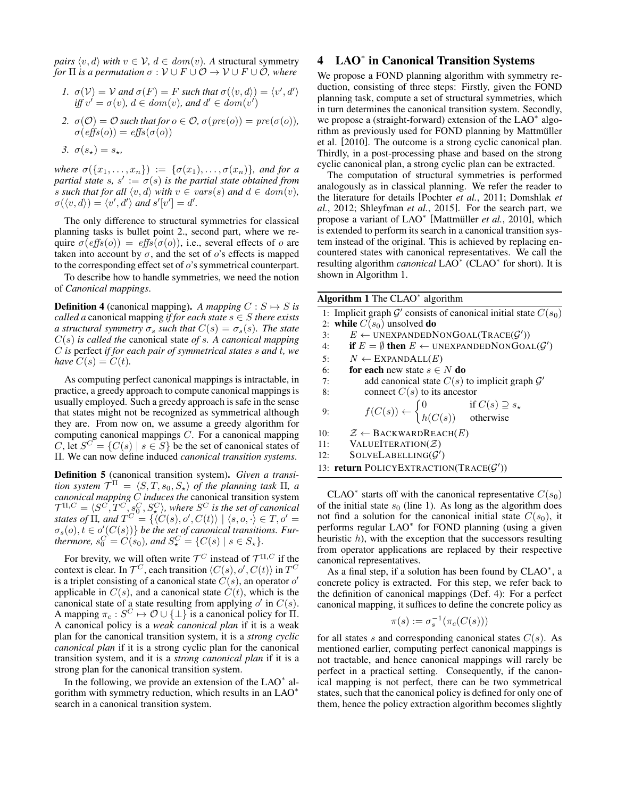*pairs*  $\langle v, d \rangle$  *with*  $v \in V$ ,  $d \in dom(v)$ *.* A structural symmetry *for*  $\Pi$  *is a permutation*  $\sigma : \mathcal{V} \cup F \cup \mathcal{O} \rightarrow \mathcal{V} \cup F \cup \mathcal{O}$ *, where* 

- *1.*  $\sigma(\mathcal{V}) = \mathcal{V}$  *and*  $\sigma(F) = F$  *such that*  $\sigma(\langle v, d \rangle) = \langle v', d' \rangle$ *iff*  $v' = \sigma(v)$ ,  $d \in dom(v)$ , and  $d' \in dom(v')$
- 2.  $\sigma(\mathcal{O}) = \mathcal{O}$  *such that for*  $o \in \mathcal{O}$ ,  $\sigma(\text{pre}(o)) = \text{pre}(\sigma(o))$ ,  $\sigma(\text{effs}(o)) = \text{effs}(\sigma(o))$
- *3.*  $\sigma(s_{\star}) = s_{\star}$ ,

*where*  $\sigma(\{x_1,\ldots,x_n\}) := \{\sigma(x_1),\ldots,\sigma(x_n)\}\$ , and for a *partial state s,*  $s' := \sigma(s)$  *is the partial state obtained from s* such that for all  $\langle v, d \rangle$  with  $v \in vars(s)$  and  $d \in dom(v)$ ,  $\sigma(\langle v, d \rangle) = \langle v', d' \rangle$  and  $s'[v'] = d'.$ 

The only difference to structural symmetries for classical planning tasks is bullet point 2., second part, where we require  $\sigma(effs(o)) = effs(\sigma(o))$ , i.e., several effects of o are taken into account by  $\sigma$ , and the set of  $o$ 's effects is mapped to the corresponding effect set of o's symmetrical counterpart.

To describe how to handle symmetries, we need the notion of *Canonical mappings*.

**Definition 4** (canonical mapping). *A mapping*  $C : S \rightarrow S$  *is called a* canonical mapping *if for each state*  $s \in S$  *there exists a structural symmetry*  $\sigma_s$  *such that*  $C(s) = \sigma_s(s)$ *. The state* C(s) *is called the* canonical state *of* s*. A canonical mapping* C *is* perfect *if for each pair of symmetrical states* s *and* t*, we have*  $C(s) = C(t)$ *.* 

As computing perfect canonical mappings is intractable, in practice, a greedy approach to compute canonical mappings is usually employed. Such a greedy approach is safe in the sense that states might not be recognized as symmetrical although they are. From now on, we assume a greedy algorithm for computing canonical mappings C. For a canonical mapping C, let  $S^C = \{C(s) \mid s \in S\}$  be the set of canonical states of Π. We can now define induced *canonical transition systems*.

Definition 5 (canonical transition system). *Given a transition system*  $\mathcal{T}^{\Pi} = \langle S, T, s_0, S_{\star} \rangle$  *of the planning task*  $\Pi$ *, a canonical mapping* C *induces the* canonical transition system  $\mathcal{T}^{\Pi,C}=\langle S^C,\overline{T}^C,s^C_0,S^C_\star\rangle,$  where  $S^C$  is the set of canonical *states of*  $\Pi$ *, and*  $T^C = \{ \langle C(s), o', C(t) \rangle \mid \langle s, o, \cdot \rangle \in T, o' = I \}$  $\sigma_s(o), t \in o'(C(s))$  *be the set of canonical transitions. Furthermore,*  $s_0^C = C(s_0)$ *, and*  $S^C_* = \{C(s) \mid s \in S_*\}$ *.* 

For brevity, we will often write  $\mathcal{T}^C$  instead of  $\mathcal{T}^{\Pi,C}$  if the context is clear. In  $\mathcal{T}^C$ , each transition  $\langle C(s), o', C(t) \rangle$  in  $T^C$ is a triplet consisting of a canonical state  $C(s)$ , an operator o' applicable in  $C(s)$ , and a canonical state  $C(t)$ , which is the canonical state of a state resulting from applying  $o'$  in  $C(s)$ . A mapping  $\pi_c : S^C \mapsto \mathcal{O} \cup \{\perp\}$  is a canonical policy for  $\Pi$ . A canonical policy is a *weak canonical plan* if it is a weak plan for the canonical transition system, it is a *strong cyclic canonical plan* if it is a strong cyclic plan for the canonical transition system, and it is a *strong canonical plan* if it is a strong plan for the canonical transition system.

In the following, we provide an extension of the  $LAO^*$  algorithm with symmetry reduction, which results in an LAO<sup>∗</sup> search in a canonical transition system.

# 4 LAO<sup>∗</sup> in Canonical Transition Systems

We propose a FOND planning algorithm with symmetry reduction, consisting of three steps: Firstly, given the FOND planning task, compute a set of structural symmetries, which in turn determines the canonical transition system. Secondly, we propose a (straight-forward) extension of the LAO<sup>\*</sup> algorithm as previously used for FOND planning by Mattmüller et al. [2010]. The outcome is a strong cyclic canonical plan. Thirdly, in a post-processing phase and based on the strong cyclic canonical plan, a strong cyclic plan can be extracted.

The computation of structural symmetries is performed analogously as in classical planning. We refer the reader to the literature for details [Pochter *et al.*, 2011; Domshlak *et al.*, 2012; Shleyfman *et al.*, 2015]. For the search part, we propose a variant of LAO<sup>∗</sup> [Mattmüller et al., 2010], which is extended to perform its search in a canonical transition system instead of the original. This is achieved by replacing encountered states with canonical representatives. We call the resulting algorithm *canonical* LAO<sup>∗</sup> (CLAO<sup>∗</sup> for short). It is shown in Algorithm 1.

| Algorithm 1 The $CLAO^*$ algorithm                                                                                       |  |  |  |  |
|--------------------------------------------------------------------------------------------------------------------------|--|--|--|--|
| 1: Implicit graph $\mathcal{G}'$ consists of canonical initial state $C(s_0)$                                            |  |  |  |  |
| 2: while $C(s_0)$ unsolved do                                                                                            |  |  |  |  |
| $E \leftarrow$ UNEXPANDEDNONGOAL(TRACE( $\mathcal{G}'$ ))<br>$\overline{3}$ :                                            |  |  |  |  |
| if $E = \emptyset$ then $E \leftarrow$ UNEXPANDEDNONGOAL $(\mathcal{G}')$<br>4:                                          |  |  |  |  |
| $N \leftarrow$ EXPANDALL $(E)$<br>5:                                                                                     |  |  |  |  |
| <b>for each</b> new state $s \in N$ <b>do</b><br>6:                                                                      |  |  |  |  |
| add canonical state $C(s)$ to implicit graph $\mathcal{G}'$<br>7:                                                        |  |  |  |  |
| connect $C(s)$ to its ancestor<br>8:                                                                                     |  |  |  |  |
|                                                                                                                          |  |  |  |  |
| $f(C(s)) \leftarrow \begin{cases} 0 & \text{if } C(s) \supseteq s_\star \\ h(C(s)) & \text{otherwise} \end{cases}$<br>9: |  |  |  |  |
| $\mathcal{Z} \leftarrow$ BACKWARDREACH $(E)$<br>10:                                                                      |  |  |  |  |
| VALUEITERATION( $Z$ )<br>11:                                                                                             |  |  |  |  |
| $SOLVELABELLING(\mathcal{G}')$<br>12:                                                                                    |  |  |  |  |
| 13: <b>return</b> POLICYEXTRACTION( $\text{TRACE}(\mathcal{G}')$ )                                                       |  |  |  |  |

CLAO<sup>\*</sup> starts off with the canonical representative  $C(s_0)$ of the initial state  $s_0$  (line 1). As long as the algorithm does not find a solution for the canonical initial state  $C(s_0)$ , it performs regular LAO<sup>\*</sup> for FOND planning (using a given heuristic  $h$ ), with the exception that the successors resulting from operator applications are replaced by their respective canonical representatives.

As a final step, if a solution has been found by  $CLAO^*$ , a concrete policy is extracted. For this step, we refer back to the definition of canonical mappings (Def. 4): For a perfect canonical mapping, it suffices to define the concrete policy as

$$
\pi(s) := \sigma_s^{-1}(\pi_c(C(s)))
$$

for all states s and corresponding canonical states  $C(s)$ . As mentioned earlier, computing perfect canonical mappings is not tractable, and hence canonical mappings will rarely be perfect in a practical setting. Consequently, if the canonical mapping is not perfect, there can be two symmetrical states, such that the canonical policy is defined for only one of them, hence the policy extraction algorithm becomes slightly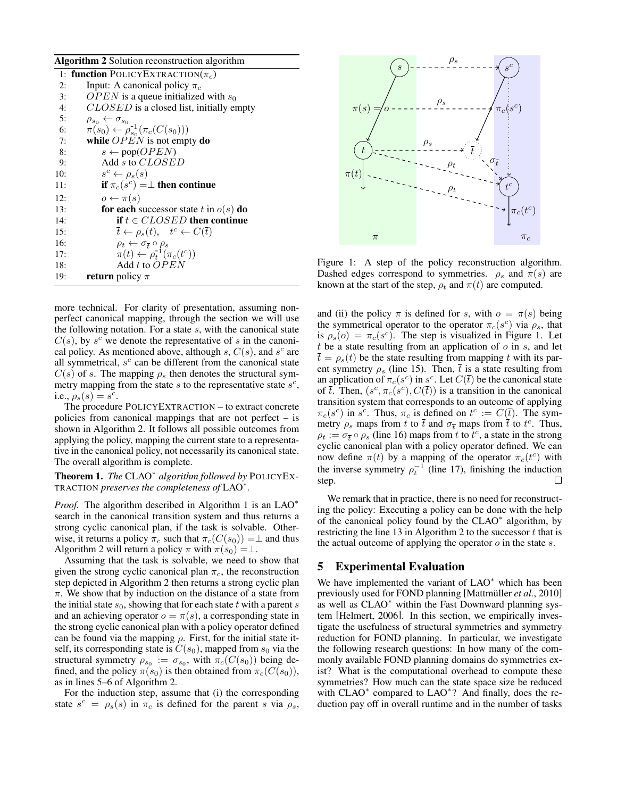Algorithm 2 Solution reconstruction algorithm

| 1: function POLICYEXTRACTION( $\pi_c$ )                                                               |
|-------------------------------------------------------------------------------------------------------|
| Input: A canonical policy $\pi_c$                                                                     |
| <i>OPEN</i> is a queue initialized with $s_0$                                                         |
| CLOSED is a closed list, initially empty                                                              |
|                                                                                                       |
| $\rho_{s_0} \leftarrow \sigma_{s_0}$<br>$\pi(s_0) \leftarrow \rho_{s_0}^{-1}(\pi_c(C(s_0)))$          |
| while $OPEN$ is not empty do                                                                          |
| $s \leftarrow \text{pop}(\text{OPEN})$                                                                |
| Add s to CLOSED                                                                                       |
| $s^c \leftarrow \rho_s(s)$                                                                            |
| if $\pi_c(s^c) = \perp$ then continue                                                                 |
| $o \leftarrow \pi(s)$                                                                                 |
| <b>for each</b> successor state t in $o(s)$ <b>do</b>                                                 |
| if $t \in CLOSED$ then continue                                                                       |
| $\overline{t} \leftarrow \rho_s(t), \quad t^c \leftarrow C(\overline{t})$                             |
|                                                                                                       |
| $\rho_t \leftarrow \sigma_{\overline{t}} \circ \rho_s$<br>$\pi(t) \leftarrow \rho_t^{-1}(\pi_c(t^c))$ |
| Add t to $OPEN$                                                                                       |
| <b>return</b> policy $\pi$                                                                            |
|                                                                                                       |

more technical. For clarity of presentation, assuming nonperfect canonical mapping, through the section we will use the following notation. For a state  $s$ , with the canonical state  $C(s)$ , by  $s^c$  we denote the representative of s in the canonical policy. As mentioned above, although s,  $C(s)$ , and  $s<sup>c</sup>$  are all symmetrical,  $s^c$  can be different from the canonical state  $C(s)$  of s. The mapping  $\rho_s$  then denotes the structural symmetry mapping from the state  $s$  to the representative state  $s^c$ , i.e.,  $\rho_s(s) = s^c$ .

The procedure POLICYEXTRACTION – to extract concrete policies from canonical mappings that are not perfect – is shown in Algorithm 2. It follows all possible outcomes from applying the policy, mapping the current state to a representative in the canonical policy, not necessarily its canonical state. The overall algorithm is complete.

Theorem 1. *The* CLAO<sup>∗</sup> *algorithm followed by* POLICYEX-TRACTION *preserves the completeness of* LAO<sup>∗</sup> *.*

*Proof.* The algorithm described in Algorithm 1 is an LAO<sup>\*</sup> search in the canonical transition system and thus returns a strong cyclic canonical plan, if the task is solvable. Otherwise, it returns a policy  $\pi_c$  such that  $\pi_c(C(s_0)) = \perp$  and thus Algorithm 2 will return a policy  $\pi$  with  $\pi(s_0) = \perp$ .

Assuming that the task is solvable, we need to show that given the strong cyclic canonical plan  $\pi_c$ , the reconstruction step depicted in Algorithm 2 then returns a strong cyclic plan  $\pi$ . We show that by induction on the distance of a state from the initial state  $s_0$ , showing that for each state t with a parent s and an achieving operator  $o = \pi(s)$ , a corresponding state in the strong cyclic canonical plan with a policy operator defined can be found via the mapping  $\rho$ . First, for the initial state itself, its corresponding state is  $C(s_0)$ , mapped from  $s_0$  via the structural symmetry  $\rho_{s_0} := \sigma_{s_0}$ , with  $\pi_c(C(s_0))$  being defined, and the policy  $\pi(s_0)$  is then obtained from  $\pi_c(C(s_0))$ , as in lines 5–6 of Algorithm 2.

For the induction step, assume that (i) the corresponding state  $s^c = \rho_s(s)$  in  $\pi_c$  is defined for the parent s via  $\rho_s$ ,



Figure 1: A step of the policy reconstruction algorithm. Dashed edges correspond to symmetries.  $\rho_s$  and  $\pi(s)$  are known at the start of the step,  $\rho_t$  and  $\pi(t)$  are computed.

and (ii) the policy  $\pi$  is defined for s, with  $o = \pi(s)$  being the symmetrical operator to the operator  $\pi_c(s^c)$  via  $\rho_s$ , that is  $\rho_s(o) = \pi_c(s^c)$ . The step is visualized in Figure 1. Let t be a state resulting from an application of  $o$  in  $s$ , and let  $t = \rho_s(t)$  be the state resulting from mapping t with its parent symmetry  $\rho_s$  (line 15). Then, t is a state resulting from an application of  $\pi_c(s^c)$  in  $s^c$ . Let  $C(\bar{t})$  be the canonical state of  $\overline{t}$ . Then,  $(s^c, \pi_c(s^c), C(\overline{t}))$  is a transition in the canonical transition system that corresponds to an outcome of applying  $\pi_c(s^c)$  in  $s^c$ . Thus,  $\pi_c$  is defined on  $t^c := C(\bar{t})$ . The symmetry  $\rho_s$  maps from t to  $\bar{t}$  and  $\sigma_{\bar{t}}$  maps from  $\bar{t}$  to  $t^c$ . Thus,  $\rho_t := \sigma_{\overline{t}} \circ \rho_s$  (line 16) maps from t to  $\overline{t}^c$ , a state in the strong cyclic canonical plan with a policy operator defined. We can now define  $\pi(t)$  by a mapping of the operator  $\pi_c(t^c)$  with the inverse symmetry  $\rho_t^{-1}$  (line 17), finishing the induction step. П

We remark that in practice, there is no need for reconstructing the policy: Executing a policy can be done with the help of the canonical policy found by the CLAO<sup>\*</sup> algorithm, by restricting the line 13 in Algorithm 2 to the successor  $t$  that is the actual outcome of applying the operator  $o$  in the state  $s$ .

#### 5 Experimental Evaluation

We have implemented the variant of LAO<sup>∗</sup> which has been previously used for FOND planning [Mattmüller et al., 2010] as well as CLAO<sup>∗</sup> within the Fast Downward planning system [Helmert, 2006]. In this section, we empirically investigate the usefulness of structural symmetries and symmetry reduction for FOND planning. In particular, we investigate the following research questions: In how many of the commonly available FOND planning domains do symmetries exist? What is the computational overhead to compute these symmetries? How much can the state space size be reduced with CLAO<sup>\*</sup> compared to LAO<sup>\*</sup>? And finally, does the reduction pay off in overall runtime and in the number of tasks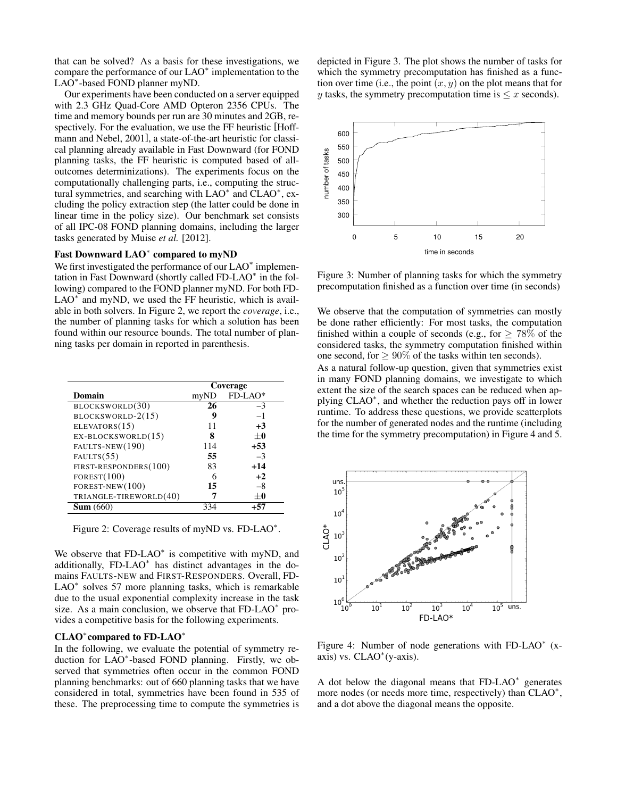that can be solved? As a basis for these investigations, we compare the performance of our LAO<sup>∗</sup> implementation to the LAO<sup>\*</sup>-based FOND planner myND.

Our experiments have been conducted on a server equipped with 2.3 GHz Quad-Core AMD Opteron 2356 CPUs. The time and memory bounds per run are 30 minutes and 2GB, respectively. For the evaluation, we use the FF heuristic [Hoffmann and Nebel, 2001], a state-of-the-art heuristic for classical planning already available in Fast Downward (for FOND planning tasks, the FF heuristic is computed based of alloutcomes determinizations). The experiments focus on the computationally challenging parts, i.e., computing the structural symmetries, and searching with LAO<sup>∗</sup> and CLAO<sup>∗</sup>, excluding the policy extraction step (the latter could be done in linear time in the policy size). Our benchmark set consists of all IPC-08 FOND planning domains, including the larger tasks generated by Muise *et al.* [2012].

# Fast Downward LAO<sup>\*</sup> compared to myND

We first investigated the performance of our LAO<sup>\*</sup> implementation in Fast Downward (shortly called FD-LAO<sup>∗</sup> in the following) compared to the FOND planner myND. For both FD-LAO<sup>\*</sup> and myND, we used the FF heuristic, which is available in both solvers. In Figure 2, we report the *coverage*, i.e., the number of planning tasks for which a solution has been found within our resource bounds. The total number of planning tasks per domain in reported in parenthesis.

|                        | Coverage |         |  |
|------------------------|----------|---------|--|
| Domain                 | myND     | FD-LAO* |  |
| BLOCKSWORLD(30)        | 26       | $-3$    |  |
| BLOCKSWORLD-2(15)      | g        | $-1$    |  |
| ELEVATORS(15)          | 11       | $+3$    |  |
| EX-BLOCKSWORLD(15)     | 8        | $+0$    |  |
| FAULTS-NEW(190)        | 114      | $+53$   |  |
| FAULTS(55)             | 55       | $-3$    |  |
| FIRST-RESPONDERS(100)  | 83       | $+14$   |  |
| FOREST(100)            | 6        | $+2$    |  |
| FOREST-NEW $(100)$     | 15       | $-8$    |  |
| TRIANGLE-TIREWORLD(40) |          | $+0$    |  |
| Sum(660)               | 334      | +57     |  |

Figure 2: Coverage results of myND vs. FD-LAO<sup>\*</sup>.

We observe that FD-LAO<sup>\*</sup> is competitive with myND, and additionally, FD-LAO<sup>∗</sup> has distinct advantages in the domains FAULTS-NEW and FIRST-RESPONDERS. Overall, FD-LAO<sup>\*</sup> solves 57 more planning tasks, which is remarkable due to the usual exponential complexity increase in the task size. As a main conclusion, we observe that FD-LAO<sup>\*</sup> provides a competitive basis for the following experiments.

# CLAO<sup>∗</sup> compared to FD-LAO<sup>∗</sup>

In the following, we evaluate the potential of symmetry reduction for LAO<sup>∗</sup> -based FOND planning. Firstly, we observed that symmetries often occur in the common FOND planning benchmarks: out of 660 planning tasks that we have considered in total, symmetries have been found in 535 of these. The preprocessing time to compute the symmetries is depicted in Figure 3. The plot shows the number of tasks for which the symmetry precomputation has finished as a function over time (i.e., the point  $(x, y)$  on the plot means that for y tasks, the symmetry precomputation time is  $\leq x$  seconds).



Figure 3: Number of planning tasks for which the symmetry precomputation finished as a function over time (in seconds)

We observe that the computation of symmetries can mostly be done rather efficiently: For most tasks, the computation finished within a couple of seconds (e.g., for  $> 78\%$  of the considered tasks, the symmetry computation finished within one second, for  $> 90\%$  of the tasks within ten seconds).

As a natural follow-up question, given that symmetries exist in many FOND planning domains, we investigate to which extent the size of the search spaces can be reduced when applying CLAO<sup>\*</sup>, and whether the reduction pays off in lower runtime. To address these questions, we provide scatterplots for the number of generated nodes and the runtime (including the time for the symmetry precomputation) in Figure 4 and 5.



Figure 4: Number of node generations with FD-LAO $*$  (xaxis) vs. CLAO<sup>∗</sup> (y-axis).

A dot below the diagonal means that FD-LAO<sup>\*</sup> generates more nodes (or needs more time, respectively) than CLAO<sup>\*</sup>, and a dot above the diagonal means the opposite.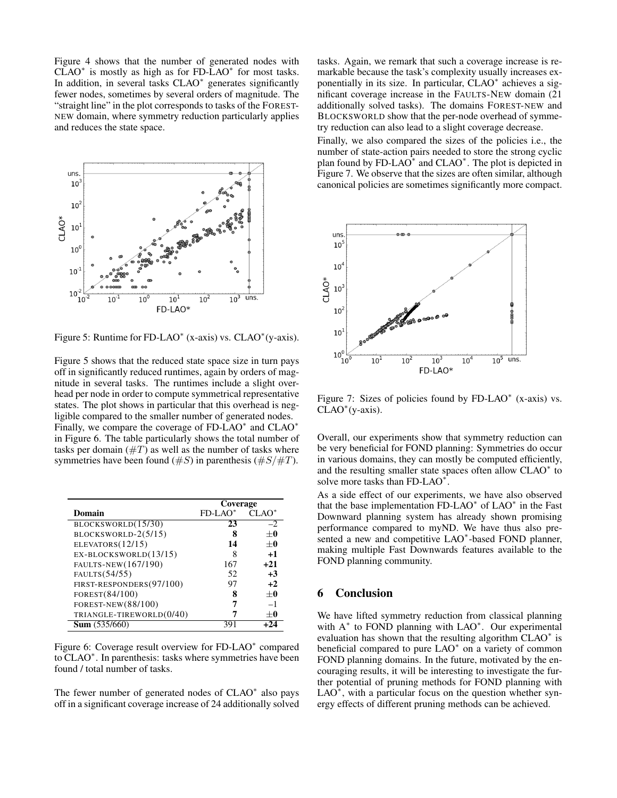Figure 4 shows that the number of generated nodes with  $CLAO^*$  is mostly as high as for FD-LAO<sup>\*</sup> for most tasks. In addition, in several tasks CLAO<sup>∗</sup> generates significantly fewer nodes, sometimes by several orders of magnitude. The "straight line" in the plot corresponds to tasks of the FOREST-NEW domain, where symmetry reduction particularly applies and reduces the state space.



Figure 5: Runtime for FD-LAO<sup>\*</sup> (x-axis) vs. CLAO<sup>\*</sup> (y-axis).

Figure 5 shows that the reduced state space size in turn pays off in significantly reduced runtimes, again by orders of magnitude in several tasks. The runtimes include a slight overhead per node in order to compute symmetrical representative states. The plot shows in particular that this overhead is negligible compared to the smaller number of generated nodes. Finally, we compare the coverage of FD-LAO<sup>\*</sup> and CLAO<sup>\*</sup> in Figure 6. The table particularly shows the total number of tasks per domain  $(\#T)$  as well as the number of tasks where symmetries have been found  $(\#S)$  in parenthesis  $(\#S/\#T)$ .

|                          | Coverage   |          |  |
|--------------------------|------------|----------|--|
| Domain                   | $FD-LAO^*$ | $CLAO^*$ |  |
| BLOCKSWORLD(15/30)       | 23         | $-2$     |  |
| BLOCKSWORLD-2(5/15)      | 8          | $+0$     |  |
| ELEVATORS $(12/15)$      | 14         | $+0$     |  |
| EX-BLOCKSWORLD(13/15)    | 8          | $+1$     |  |
| FAULTS-NEW(167/190)      | 167        | $+21$    |  |
| FAULTS(54/55)            | 52         | $+3$     |  |
| FIRST-RESPONDERS(97/100) | 97         | $+2$     |  |
| FOREST(84/100)           | 8          | $+0$     |  |
| FOREST-NEW(88/100)       |            | $-1$     |  |
| TRIANGLE-TIREWORLD(0/40) |            | $+0$     |  |
| <b>Sum</b> $(535/660)$   |            |          |  |

Figure 6: Coverage result overview for FD-LAO<sup>\*</sup> compared to CLAO<sup>∗</sup> . In parenthesis: tasks where symmetries have been found / total number of tasks.

The fewer number of generated nodes of CLAO<sup>\*</sup> also pays off in a significant coverage increase of 24 additionally solved tasks. Again, we remark that such a coverage increase is remarkable because the task's complexity usually increases exponentially in its size. In particular, CLAO<sup>∗</sup> achieves a significant coverage increase in the FAULTS-NEW domain (21 additionally solved tasks). The domains FOREST-NEW and BLOCKSWORLD show that the per-node overhead of symmetry reduction can also lead to a slight coverage decrease.

Finally, we also compared the sizes of the policies i.e., the number of state-action pairs needed to store the strong cyclic plan found by FD-LAO $^*$  and CLAO $^*$ . The plot is depicted in Figure 7. We observe that the sizes are often similar, although canonical policies are sometimes significantly more compact.



Figure 7: Sizes of policies found by  $FD-LAO^*$  (x-axis) vs. CLAO<sup>∗</sup> (y-axis).

Overall, our experiments show that symmetry reduction can be very beneficial for FOND planning: Symmetries do occur in various domains, they can mostly be computed efficiently, and the resulting smaller state spaces often allow CLAO<sup>∗</sup> to solve more tasks than FD-LAO<sup>\*</sup>.

As a side effect of our experiments, we have also observed that the base implementation FD-LAO<sup>\*</sup> of LAO<sup>\*</sup> in the Fast Downward planning system has already shown promising performance compared to myND. We have thus also presented a new and competitive LAO<sup>∗</sup> -based FOND planner, making multiple Fast Downwards features available to the FOND planning community.

# 6 Conclusion

We have lifted symmetry reduction from classical planning with A<sup>\*</sup> to FOND planning with LAO<sup>\*</sup>. Our experimental evaluation has shown that the resulting algorithm CLAO<sup>∗</sup> is beneficial compared to pure LAO<sup>\*</sup> on a variety of common FOND planning domains. In the future, motivated by the encouraging results, it will be interesting to investigate the further potential of pruning methods for FOND planning with  $LAO^*$ , with a particular focus on the question whether synergy effects of different pruning methods can be achieved.